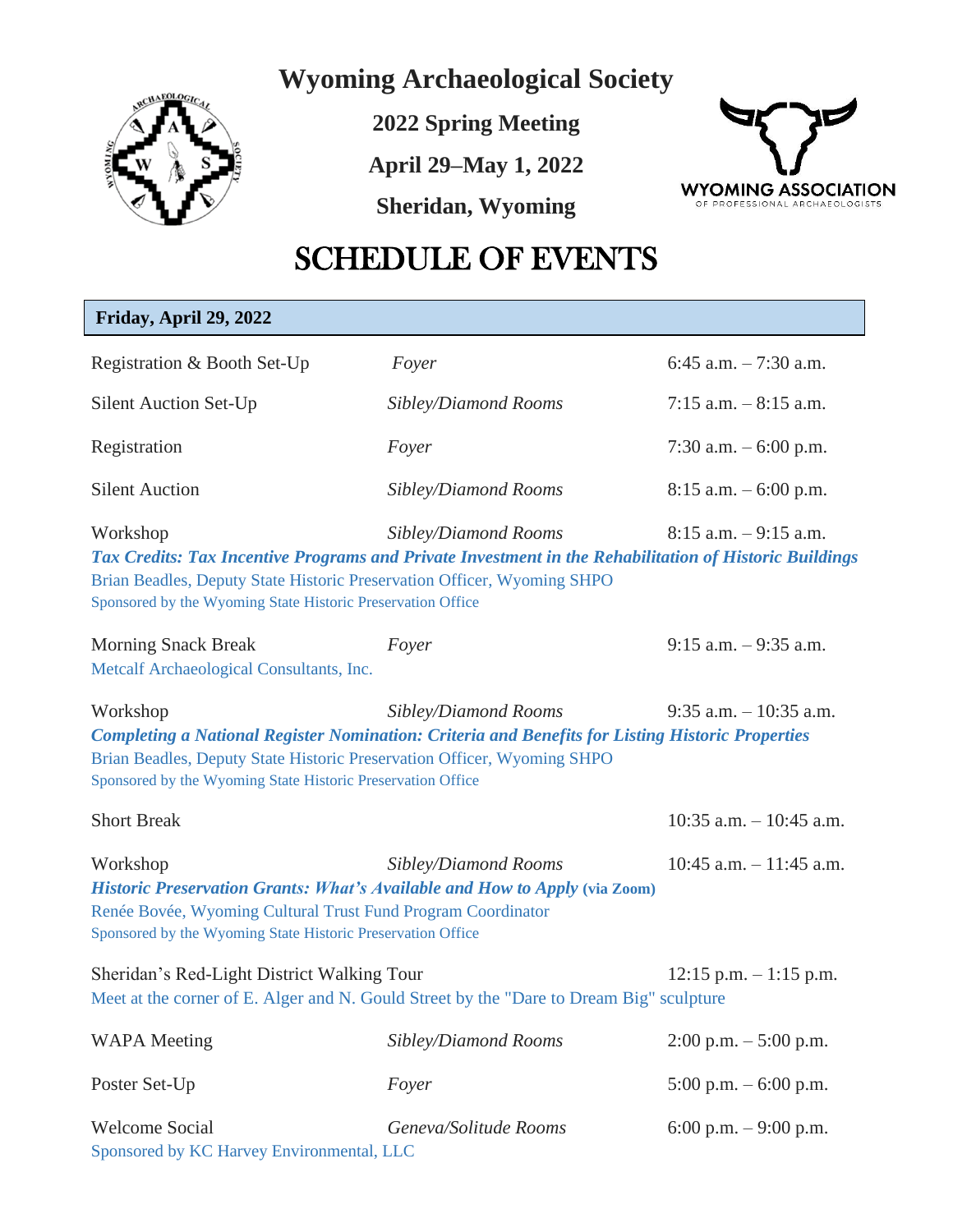

**Wyoming Archaeological Society**

**2022 Spring Meeting**

**April 29–May 1, 2022**

**Sheridan, Wyoming**



## SCHEDULE OF EVENTS

| Friday, April 29, 2022                                                                                                                  |                                                                                                                                                                                                            |                            |
|-----------------------------------------------------------------------------------------------------------------------------------------|------------------------------------------------------------------------------------------------------------------------------------------------------------------------------------------------------------|----------------------------|
| Registration & Booth Set-Up                                                                                                             | Foyer                                                                                                                                                                                                      | 6:45 a.m. $-7:30$ a.m.     |
| <b>Silent Auction Set-Up</b>                                                                                                            | Sibley/Diamond Rooms                                                                                                                                                                                       | 7:15 a.m. $-8:15$ a.m.     |
| Registration                                                                                                                            | Foyer                                                                                                                                                                                                      | 7:30 a.m. $-6:00$ p.m.     |
| <b>Silent Auction</b>                                                                                                                   | Sibley/Diamond Rooms                                                                                                                                                                                       | $8:15$ a.m. $-6:00$ p.m.   |
| Workshop<br>Sponsored by the Wyoming State Historic Preservation Office                                                                 | Sibley/Diamond Rooms<br>Tax Credits: Tax Incentive Programs and Private Investment in the Rehabilitation of Historic Buildings<br>Brian Beadles, Deputy State Historic Preservation Officer, Wyoming SHPO  | $8:15$ a.m. $-9:15$ a.m.   |
| <b>Morning Snack Break</b><br>Metcalf Archaeological Consultants, Inc.                                                                  | Foyer                                                                                                                                                                                                      | $9:15$ a.m. $-9:35$ a.m.   |
| Workshop<br>Sponsored by the Wyoming State Historic Preservation Office                                                                 | Sibley/Diamond Rooms<br><b>Completing a National Register Nomination: Criteria and Benefits for Listing Historic Properties</b><br>Brian Beadles, Deputy State Historic Preservation Officer, Wyoming SHPO | $9:35$ a.m. $-10:35$ a.m.  |
| <b>Short Break</b>                                                                                                                      |                                                                                                                                                                                                            | $10:35$ a.m. $-10:45$ a.m. |
| Workshop<br>Renée Bovée, Wyoming Cultural Trust Fund Program Coordinator<br>Sponsored by the Wyoming State Historic Preservation Office | Sibley/Diamond Rooms<br>Historic Preservation Grants: What's Available and How to Apply (via Zoom)                                                                                                         | $10:45$ a.m. $-11:45$ a.m. |
| Sheridan's Red-Light District Walking Tour                                                                                              | Meet at the corner of E. Alger and N. Gould Street by the "Dare to Dream Big" sculpture                                                                                                                    | $12:15$ p.m. $-1:15$ p.m.  |
| <b>WAPA</b> Meeting                                                                                                                     | Sibley/Diamond Rooms                                                                                                                                                                                       | $2:00$ p.m. $-5:00$ p.m.   |
| Poster Set-Up                                                                                                                           | Foyer                                                                                                                                                                                                      | 5:00 p.m. $-6:00$ p.m.     |
| <b>Welcome Social</b><br>Sponsored by KC Harvey Environmental, LLC                                                                      | Geneva/Solitude Rooms                                                                                                                                                                                      | 6:00 p.m. $-9:00$ p.m.     |